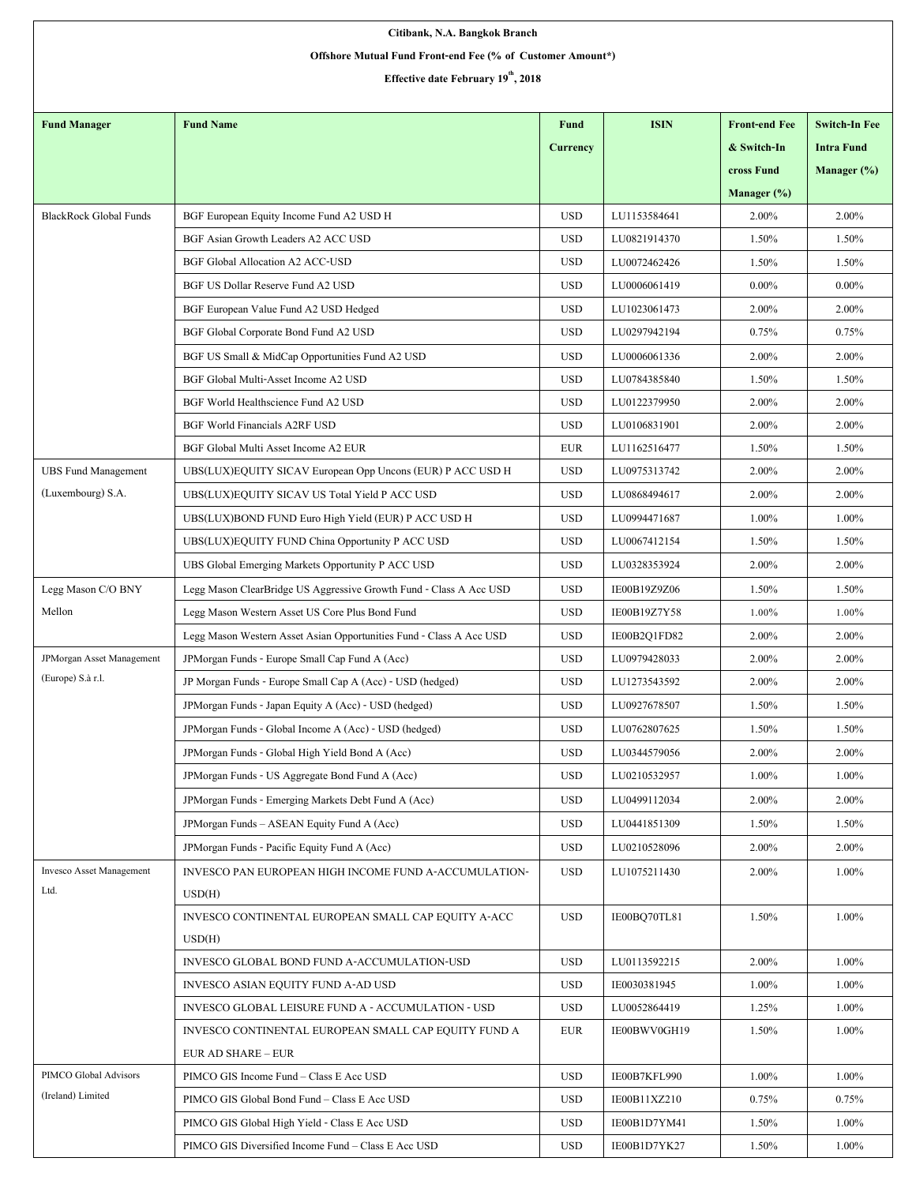| Citibank, N.A. Bangkok Branch                              |                                                                     |                 |              |                      |                      |  |  |  |  |  |
|------------------------------------------------------------|---------------------------------------------------------------------|-----------------|--------------|----------------------|----------------------|--|--|--|--|--|
| Offshore Mutual Fund Front-end Fee (% of Customer Amount*) |                                                                     |                 |              |                      |                      |  |  |  |  |  |
| Effective date February 19 <sup>th</sup> , 2018            |                                                                     |                 |              |                      |                      |  |  |  |  |  |
|                                                            |                                                                     |                 |              |                      |                      |  |  |  |  |  |
| <b>Fund Manager</b>                                        | <b>Fund Name</b>                                                    | <b>Fund</b>     | <b>ISIN</b>  | <b>Front-end Fee</b> | <b>Switch-In Fee</b> |  |  |  |  |  |
|                                                            |                                                                     | <b>Currency</b> |              | & Switch-In          | <b>Intra Fund</b>    |  |  |  |  |  |
|                                                            |                                                                     |                 |              | cross Fund           | Manager (%)          |  |  |  |  |  |
|                                                            |                                                                     |                 |              | Manager $(\%)$       |                      |  |  |  |  |  |
| <b>BlackRock Global Funds</b>                              | BGF European Equity Income Fund A2 USD H                            | <b>USD</b>      | LU1153584641 | 2.00%                | 2.00%                |  |  |  |  |  |
|                                                            | BGF Asian Growth Leaders A2 ACC USD                                 | <b>USD</b>      | LU0821914370 | 1.50%                | 1.50%                |  |  |  |  |  |
|                                                            | BGF Global Allocation A2 ACC-USD                                    | <b>USD</b>      | LU0072462426 | 1.50%                | 1.50%                |  |  |  |  |  |
|                                                            | BGF US Dollar Reserve Fund A2 USD                                   | <b>USD</b>      | LU0006061419 | $0.00\%$             | $0.00\%$             |  |  |  |  |  |
|                                                            | BGF European Value Fund A2 USD Hedged                               | <b>USD</b>      | LU1023061473 | 2.00%                | 2.00%                |  |  |  |  |  |
|                                                            | BGF Global Corporate Bond Fund A2 USD                               | <b>USD</b>      | LU0297942194 | 0.75%                | 0.75%                |  |  |  |  |  |
|                                                            | BGF US Small & MidCap Opportunities Fund A2 USD                     | <b>USD</b>      | LU0006061336 | 2.00%                | 2.00%                |  |  |  |  |  |
|                                                            | BGF Global Multi-Asset Income A2 USD                                | <b>USD</b>      | LU0784385840 | 1.50%                | 1.50%                |  |  |  |  |  |
|                                                            | BGF World Healthscience Fund A2 USD                                 | <b>USD</b>      | LU0122379950 | 2.00%                | 2.00%                |  |  |  |  |  |
|                                                            | <b>BGF World Financials A2RF USD</b>                                | <b>USD</b>      | LU0106831901 | 2.00%                | 2.00%                |  |  |  |  |  |
|                                                            | BGF Global Multi Asset Income A2 EUR                                | <b>EUR</b>      | LU1162516477 | 1.50%                | 1.50%                |  |  |  |  |  |
| <b>UBS Fund Management</b>                                 | UBS(LUX)EQUITY SICAV European Opp Uncons (EUR) P ACC USD H          | <b>USD</b>      | LU0975313742 | 2.00%                | 2.00%                |  |  |  |  |  |
| (Luxembourg) S.A.                                          | UBS(LUX)EQUITY SICAV US Total Yield P ACC USD                       | <b>USD</b>      | LU0868494617 | 2.00%                | 2.00%                |  |  |  |  |  |
|                                                            | UBS(LUX)BOND FUND Euro High Yield (EUR) P ACC USD H                 | <b>USD</b>      | LU0994471687 | 1.00%                | 1.00%                |  |  |  |  |  |
|                                                            | UBS(LUX)EQUITY FUND China Opportunity P ACC USD                     | <b>USD</b>      | LU0067412154 | 1.50%                | 1.50%                |  |  |  |  |  |
|                                                            | UBS Global Emerging Markets Opportunity P ACC USD                   | <b>USD</b>      | LU0328353924 | 2.00%                | 2.00%                |  |  |  |  |  |
| Legg Mason C/O BNY                                         | Legg Mason ClearBridge US Aggressive Growth Fund - Class A Acc USD  | <b>USD</b>      | IE00B19Z9Z06 | 1.50%                | 1.50%                |  |  |  |  |  |
| Mellon                                                     | Legg Mason Western Asset US Core Plus Bond Fund                     | <b>USD</b>      | IE00B19Z7Y58 | 1.00%                | $1.00\%$             |  |  |  |  |  |
|                                                            | Legg Mason Western Asset Asian Opportunities Fund - Class A Acc USD | <b>USD</b>      | IE00B2Q1FD82 | 2.00%                | 2.00%                |  |  |  |  |  |
| JPMorgan Asset Management                                  | JPMorgan Funds - Europe Small Cap Fund A (Acc)                      | <b>USD</b>      | LU0979428033 | 2.00%                | 2.00%                |  |  |  |  |  |
| (Europe) S.à r.l.                                          | JP Morgan Funds - Europe Small Cap A (Acc) - USD (hedged)           | <b>USD</b>      | LU1273543592 | 2.00%                | 2.00%                |  |  |  |  |  |
|                                                            | JPMorgan Funds - Japan Equity A (Acc) - USD (hedged)                | <b>USD</b>      | LU0927678507 | 1.50%                | 1.50%                |  |  |  |  |  |
|                                                            | JPMorgan Funds - Global Income A (Acc) - USD (hedged)               | <b>USD</b>      | LU0762807625 | 1.50%                | 1.50%                |  |  |  |  |  |
|                                                            | JPM organ Funds - Global High Yield Bond A (Acc)                    | <b>USD</b>      | LU0344579056 | 2.00%                | 2.00%                |  |  |  |  |  |
|                                                            | JPMorgan Funds - US Aggregate Bond Fund A (Acc)                     | <b>USD</b>      | LU0210532957 | 1.00%                | 1.00%                |  |  |  |  |  |
|                                                            | JPM organ Funds - Emerging Markets Debt Fund A (Acc)                | <b>USD</b>      | LU0499112034 | 2.00%                | 2.00%                |  |  |  |  |  |
|                                                            | JPM organ Funds - ASEAN Equity Fund A (Acc)                         | <b>USD</b>      | LU0441851309 | 1.50%                | 1.50%                |  |  |  |  |  |
|                                                            | JPMorgan Funds - Pacific Equity Fund A (Acc)                        | <b>USD</b>      | LU0210528096 | 2.00%                | 2.00%                |  |  |  |  |  |
| <b>Invesco Asset Management</b>                            | INVESCO PAN EUROPEAN HIGH INCOME FUND A-ACCUMULATION-               | <b>USD</b>      | LU1075211430 | 2.00%                | 1.00%                |  |  |  |  |  |
| Ltd.                                                       | USD(H)                                                              |                 |              |                      |                      |  |  |  |  |  |
|                                                            | INVESCO CONTINENTAL EUROPEAN SMALL CAP EQUITY A-ACC                 | <b>USD</b>      | IE00BQ70TL81 | 1.50%                | 1.00%                |  |  |  |  |  |
|                                                            | USD(H)                                                              |                 |              |                      |                      |  |  |  |  |  |
|                                                            | INVESCO GLOBAL BOND FUND A-ACCUMULATION-USD                         | <b>USD</b>      | LU0113592215 | 2.00%                | 1.00%                |  |  |  |  |  |
|                                                            | INVESCO ASIAN EQUITY FUND A-AD USD                                  | <b>USD</b>      | IE0030381945 | 1.00%                | 1.00%                |  |  |  |  |  |
|                                                            | INVESCO GLOBAL LEISURE FUND A - ACCUMULATION - USD                  | <b>USD</b>      | LU0052864419 | 1.25%                | 1.00%                |  |  |  |  |  |
|                                                            | INVESCO CONTINENTAL EUROPEAN SMALL CAP EQUITY FUND A                | <b>EUR</b>      | IE00BWV0GH19 | 1.50%                | 1.00%                |  |  |  |  |  |
|                                                            | <b>EUR AD SHARE - EUR</b>                                           |                 |              |                      |                      |  |  |  |  |  |
| PIMCO Global Advisors                                      | PIMCO GIS Income Fund - Class E Acc USD                             | <b>USD</b>      | IE00B7KFL990 | 1.00%                | 1.00%                |  |  |  |  |  |
| (Ireland) Limited                                          | PIMCO GIS Global Bond Fund - Class E Acc USD                        | <b>USD</b>      | IE00B11XZ210 | 0.75%                | 0.75%                |  |  |  |  |  |
|                                                            | PIMCO GIS Global High Yield - Class E Acc USD                       | <b>USD</b>      | IE00B1D7YM41 | 1.50%                | 1.00%                |  |  |  |  |  |
|                                                            | PIMCO GIS Diversified Income Fund – Class E Acc USD                 | <b>USD</b>      | IE00B1D7YK27 | 1.50%                | 1.00%                |  |  |  |  |  |